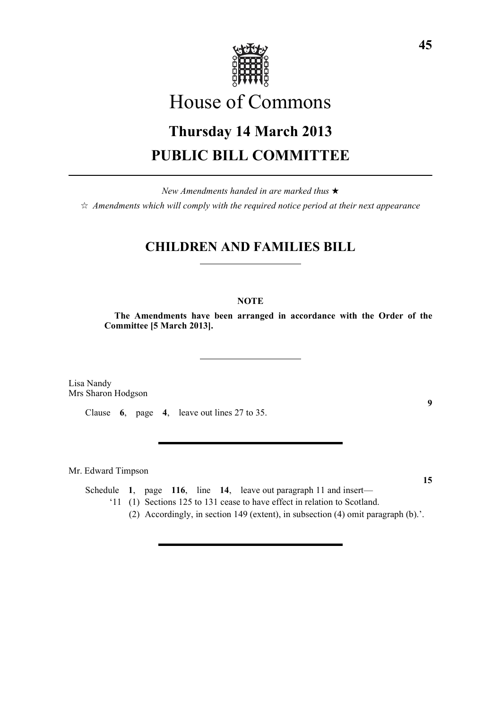

# House of Commons

# **Thursday 14 March 2013 PUBLIC BILL COMMITTEE**

*New Amendments handed in are marked thus* \*  $\dot{\varphi}$  *Amendments which will comply with the required notice period at their next appearance* 

# **CHILDREN AND FAMILIES BILL**

### **NOTE**

**The Amendments have been arranged in accordance with the Order of the Committee [5 March 2013].**

Lisa Nandy Mrs Sharon Hodgson

Clause **6**, page **4**, leave out lines 27 to 35.

Mr. Edward Timpson

Schedule **1**, page **116**, line **14**, leave out paragraph 11 and insert— '11 (1) Sections 125 to 131 cease to have effect in relation to Scotland.

(2) Accordingly, in section 149 (extent), in subsection (4) omit paragraph (b).'.

**15**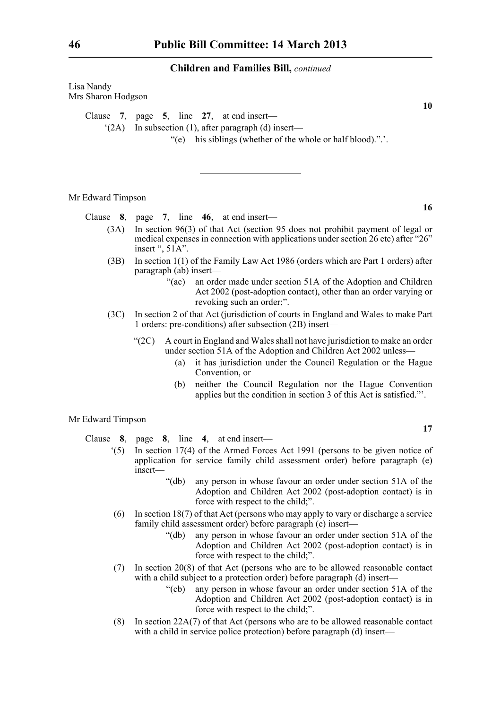| Lisa Nandy<br>Mrs Sharon Hodgson | 10                                                                                                                                                                                                                                                                                                                                                                                        |
|----------------------------------|-------------------------------------------------------------------------------------------------------------------------------------------------------------------------------------------------------------------------------------------------------------------------------------------------------------------------------------------------------------------------------------------|
| (2A)                             | Clause 7, page 5, line 27, at end insert—<br>In subsection $(1)$ , after paragraph $(d)$ insert—<br>"(e) his siblings (whether of the whole or half blood).".'.                                                                                                                                                                                                                           |
| Mr Edward Timpson                | 16                                                                                                                                                                                                                                                                                                                                                                                        |
|                                  | Clause $8$ , page $7$ , line $46$ , at end insert—                                                                                                                                                                                                                                                                                                                                        |
| (3A)                             | In section 96(3) of that Act (section 95 does not prohibit payment of legal or<br>medical expenses in connection with applications under section 26 etc) after "26"<br>insert ", 51A".                                                                                                                                                                                                    |
| (3B)                             | In section $1(1)$ of the Family Law Act 1986 (orders which are Part 1 orders) after<br>paragraph (ab) insert—<br>an order made under section 51A of the Adoption and Children<br>" $(ac)$<br>Act 2002 (post-adoption contact), other than an order varying or<br>revoking such an order;".                                                                                                |
| (3C)                             | In section 2 of that Act (jurisdiction of courts in England and Wales to make Part<br>1 orders: pre-conditions) after subsection (2B) insert—                                                                                                                                                                                                                                             |
|                                  | A court in England and Wales shall not have jurisdiction to make an order<br>" $(2C)$<br>under section 51A of the Adoption and Children Act 2002 unless-<br>it has jurisdiction under the Council Regulation or the Hague<br>(a)<br>Convention, or<br>neither the Council Regulation nor the Hague Convention<br>(b)<br>applies but the condition in section 3 of this Act is satisfied." |
| Mr Edward Timpson                | 17                                                                                                                                                                                                                                                                                                                                                                                        |
| Clause                           | 8, page 8, line 4, at end insert—                                                                                                                                                                                                                                                                                                                                                         |

- '(5) In section 17(4) of the Armed Forces Act 1991 (persons to be given notice of application for service family child assessment order) before paragraph (e) insert—
	- "(db) any person in whose favour an order under section 51A of the Adoption and Children Act 2002 (post-adoption contact) is in force with respect to the child;".
- (6) In section 18(7) of that Act (persons who may apply to vary or discharge a service family child assessment order) before paragraph (e) insert—
	- "(db) any person in whose favour an order under section 51A of the Adoption and Children Act 2002 (post-adoption contact) is in force with respect to the child;".
- (7) In section 20(8) of that Act (persons who are to be allowed reasonable contact with a child subject to a protection order) before paragraph (d) insert—
	- "(cb) any person in whose favour an order under section 51A of the Adoption and Children Act 2002 (post-adoption contact) is in force with respect to the child;".
- (8) In section 22A(7) of that Act (persons who are to be allowed reasonable contact with a child in service police protection) before paragraph (d) insert—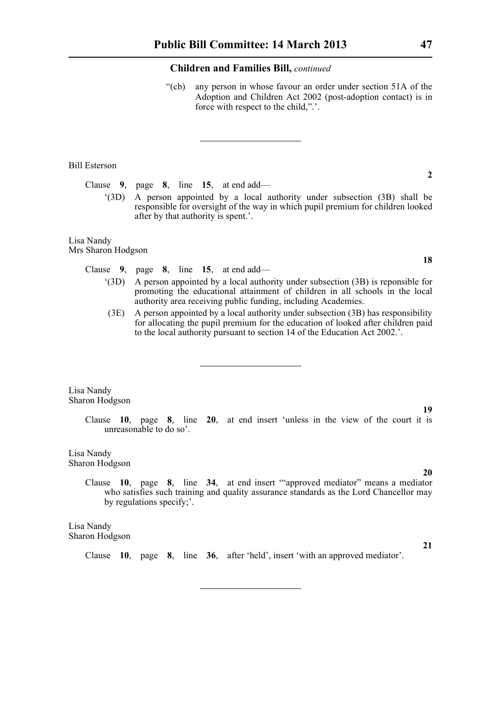"(cb) any person in whose favour an order under section 51A of the Adoption and Children Act 2002 (post-adoption contact) is in force with respect to the child,".'.

#### Bill Esterson

Clause **9**, page **8**, line **15**, at end add—

'(3D) A person appointed by a local authority under subsection (3B) shall be responsible for oversight of the way in which pupil premium for children looked after by that authority is spent.'.

#### Lisa Nandy Mrs Sharon Hodgson

Clause **9**, page **8**, line **15**, at end add—

- '(3D) A person appointed by a local authority under subsection (3B) is reponsible for promoting the educational attainment of children in all schools in the local authority area receiving public funding, including Academies.
- (3E) A person appointed by a local authority under subsection (3B) has responsibility for allocating the pupil premium for the education of looked after children paid to the local authority pursuant to section 14 of the Education Act 2002.'.

Lisa Nandy Sharon Hodgson

> Clause **10**, page **8**, line **20**, at end insert 'unless in the view of the court it is unreasonable to do so'.

Lisa Nandy Sharon Hodgson

> Clause **10**, page **8**, line **34**, at end insert '"approved mediator" means a mediator who satisfies such training and quality assurance standards as the Lord Chancellor may by regulations specify;'.

Lisa Nandy Sharon Hodgson

Clause **10**, page **8**, line **36**, after 'held', insert 'with an approved mediator'.

**18**

**2**

**19**

**20**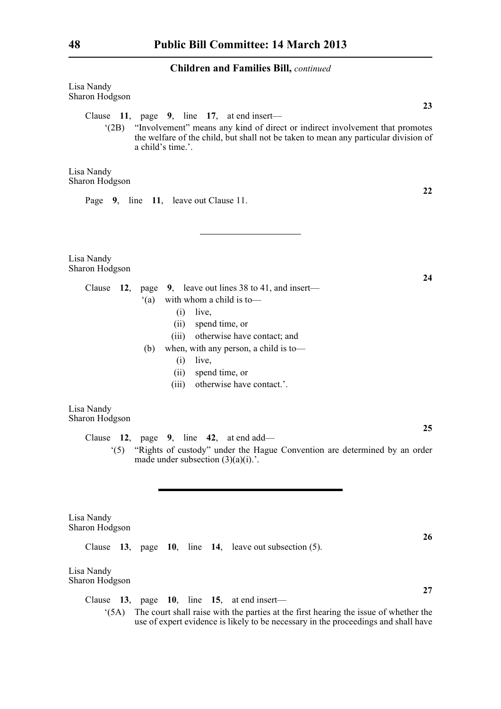| Lisa Nandy<br>Sharon Hodgson                                                                                                                                                                                                                                                                                           |
|------------------------------------------------------------------------------------------------------------------------------------------------------------------------------------------------------------------------------------------------------------------------------------------------------------------------|
| 23<br>Clause 11, page 9, line 17, at end insert-<br>"Involvement" means any kind of direct or indirect involvement that promotes<br>$^{\circ}$ (2B)<br>the welfare of the child, but shall not be taken to mean any particular division of<br>a child's time.'.                                                        |
| Lisa Nandy<br>Sharon Hodgson                                                                                                                                                                                                                                                                                           |
| 22<br>Page 9, line 11, leave out Clause 11.                                                                                                                                                                                                                                                                            |
| Lisa Nandy<br>Sharon Hodgson                                                                                                                                                                                                                                                                                           |
| 24<br>Clause $12$ , page 9, leave out lines 38 to 41, and insert—<br>with whom a child is to-<br>(a)<br>(i)<br>live,<br>spend time, or<br>(ii)<br>otherwise have contact; and<br>(iii)<br>when, with any person, a child is to-<br>(b)<br>(i)<br>live,<br>spend time, or<br>(ii)<br>otherwise have contact.'.<br>(iii) |
| Lisa Nandy<br>Sharon Hodgson                                                                                                                                                                                                                                                                                           |
| 25<br>Clause 12, page 9, line 42, at end add—<br>"Rights of custody" under the Hague Convention are determined by an order<br>(5)<br>made under subsection $(3)(a)(i)$ .                                                                                                                                               |
| Lisa Nandy<br>Sharon Hodgson                                                                                                                                                                                                                                                                                           |
| 26<br>13, page 10, line 14, leave out subsection $(5)$ .<br>Clause                                                                                                                                                                                                                                                     |
| Lisa Nandy<br>Sharon Hodgson                                                                                                                                                                                                                                                                                           |

Clause **13**, page **10**, line **15**, at end insert— '(5A) The court shall raise with the parties at the first hearing the issue of whether the use of expert evidence is likely to be necessary in the proceedings and shall have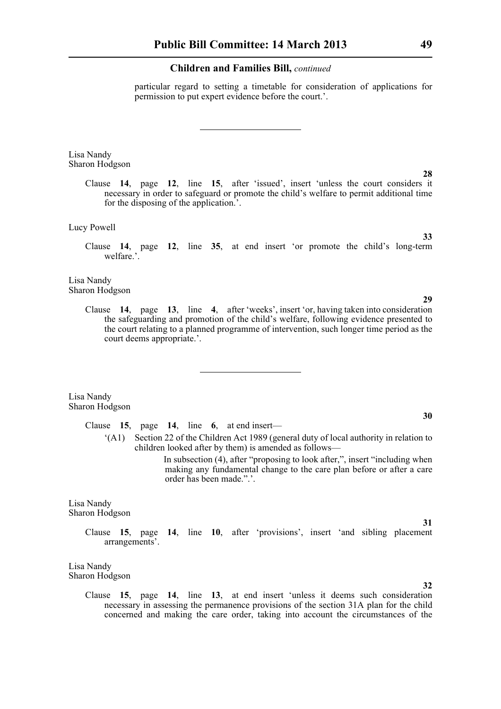particular regard to setting a timetable for consideration of applications for permission to put expert evidence before the court.'.

Lisa Nandy Sharon Hodgson

> Clause **14**, page **12**, line **15**, after 'issued', insert 'unless the court considers it necessary in order to safeguard or promote the child's welfare to permit additional time for the disposing of the application.'.

Lucy Powell

Clause **14**, page **12**, line **35**, at end insert 'or promote the child's long-term welfare.'.

Lisa Nandy Sharon Hodgson

> Clause **14**, page **13**, line **4**, after 'weeks', insert 'or, having taken into consideration the safeguarding and promotion of the child's welfare, following evidence presented to the court relating to a planned programme of intervention, such longer time period as the court deems appropriate.'.

Lisa Nandy Sharon Hodgson

> Clause **15**, page **14**, line **6**, at end insert— '(A1) Section 22 of the Children Act 1989 (general duty of local authority in relation to children looked after by them) is amended as follows—

> > In subsection (4), after "proposing to look after,", insert "including when making any fundamental change to the care plan before or after a care order has been made.".'.

Lisa Nandy Sharon Hodgson

> Clause **15**, page **14**, line **10**, after 'provisions', insert 'and sibling placement arrangements'.

Lisa Nandy Sharon Hodgson

> Clause **15**, page **14**, line **13**, at end insert 'unless it deems such consideration necessary in assessing the permanence provisions of the section 31A plan for the child concerned and making the care order, taking into account the circumstances of the

#### **30**

**28**

**33**

**29**

**32**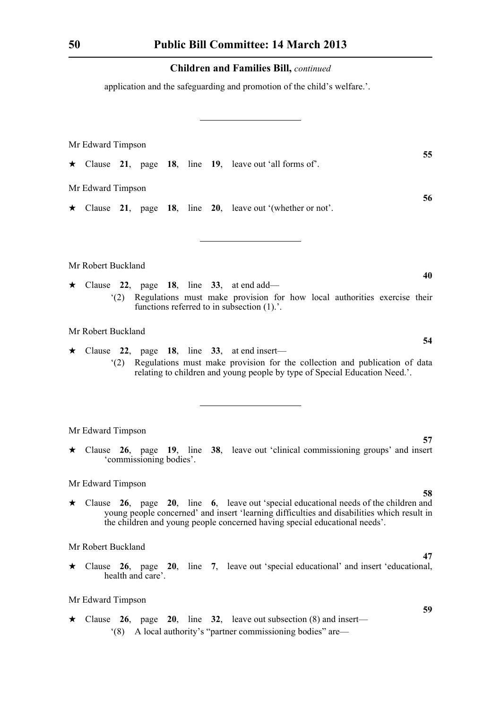application and the safeguarding and promotion of the child's welfare.'.

|         | Mr Edward Timpson  |     |                         |  |  |  |                                                                                                                                                                                                                                                                                |
|---------|--------------------|-----|-------------------------|--|--|--|--------------------------------------------------------------------------------------------------------------------------------------------------------------------------------------------------------------------------------------------------------------------------------|
|         |                    |     |                         |  |  |  | 55<br>$\star$ Clause 21, page 18, line 19, leave out 'all forms of'.                                                                                                                                                                                                           |
|         | Mr Edward Timpson  |     |                         |  |  |  |                                                                                                                                                                                                                                                                                |
|         |                    |     |                         |  |  |  | 56<br>$\star$ Clause 21, page 18, line 20, leave out '(whether or not'.                                                                                                                                                                                                        |
|         |                    |     |                         |  |  |  |                                                                                                                                                                                                                                                                                |
|         | Mr Robert Buckland |     |                         |  |  |  |                                                                                                                                                                                                                                                                                |
|         |                    | (2) |                         |  |  |  | 40<br>$\star$ Clause 22, page 18, line 33, at end add—<br>Regulations must make provision for how local authorities exercise their<br>functions referred to in subsection $(1)$ .'.                                                                                            |
|         | Mr Robert Buckland |     |                         |  |  |  |                                                                                                                                                                                                                                                                                |
| $\star$ |                    | (2) |                         |  |  |  | 54<br>Clause 22, page 18, line 33, at end insert—<br>Regulations must make provision for the collection and publication of data<br>relating to children and young people by type of Special Education Need.'.                                                                  |
|         | Mr Edward Timpson  |     |                         |  |  |  |                                                                                                                                                                                                                                                                                |
|         |                    |     | 'commissioning bodies'. |  |  |  | 57<br>$\star$ Clause 26, page 19, line 38, leave out 'clinical commissioning groups' and insert                                                                                                                                                                                |
|         | Mr Edward Timpson  |     |                         |  |  |  |                                                                                                                                                                                                                                                                                |
|         |                    |     |                         |  |  |  | 58<br>$\star$ Clause 26, page 20, line 6, leave out 'special educational needs of the children and<br>young people concerned' and insert 'learning difficulties and disabilities which result in<br>the children and young people concerned having special educational needs'. |
|         | Mr Robert Buckland |     |                         |  |  |  |                                                                                                                                                                                                                                                                                |
|         |                    |     | health and care'.       |  |  |  | 47<br>$\star$ Clause 26, page 20, line 7, leave out 'special educational' and insert 'educational,                                                                                                                                                                             |
|         | Mr Edward Timpson  |     |                         |  |  |  |                                                                                                                                                                                                                                                                                |
| ★       |                    | (8) |                         |  |  |  | 59<br>Clause 26, page 20, line 32, leave out subsection $(8)$ and insert—<br>A local authority's "partner commissioning bodies" are—                                                                                                                                           |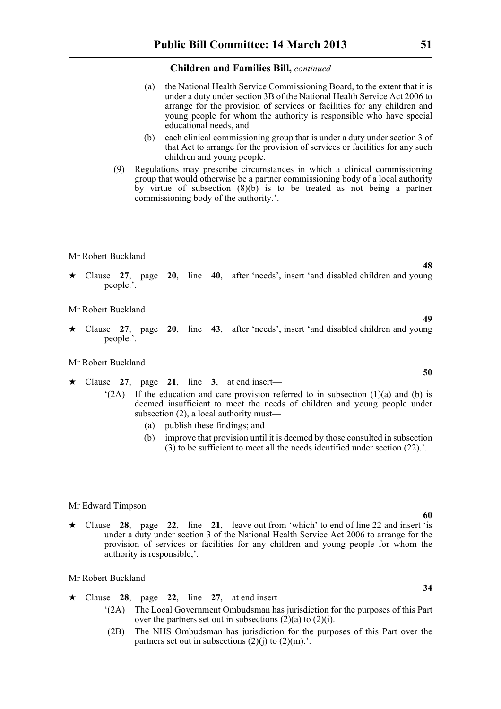- (a) the National Health Service Commissioning Board, to the extent that it is under a duty under section 3B of the National Health Service Act 2006 to arrange for the provision of services or facilities for any children and young people for whom the authority is responsible who have special educational needs, and
- (b) each clinical commissioning group that is under a duty under section 3 of that Act to arrange for the provision of services or facilities for any such children and young people.
- (9) Regulations may prescribe circumstances in which a clinical commissioning group that would otherwise be a partner commissioning body of a local authority by virtue of subsection  $(8)(b)$  is to be treated as not being a partner commissioning body of the authority.'.

Mr Robert Buckland

\* Clause **27**, page **20**, line **40**, after 'needs', insert 'and disabled children and young people.'.

Mr Robert Buckland

\* Clause **27**, page **20**, line **43**, after 'needs', insert 'and disabled children and young people.'.

#### Mr Robert Buckland

- $\star$  Clause 27, page 21, line 3, at end insert—
	- $(2A)$  If the education and care provision referred to in subsection (1)(a) and (b) is deemed insufficient to meet the needs of children and young people under subsection (2), a local authority must—
		- (a) publish these findings; and
		- (b) improve that provision until it is deemed by those consulted in subsection  $(3)$  to be sufficient to meet all the needs identified under section  $(22)$ .'.

Mr Edward Timpson

 $\star$  Clause 28, page 22, line 21, leave out from 'which' to end of line 22 and insert 'is under a duty under section 3 of the National Health Service Act 2006 to arrange for the provision of services or facilities for any children and young people for whom the authority is responsible;'.

#### Mr Robert Buckland

- $\star$  Clause 28, page 22, line 27, at end insert—
	- '(2A) The Local Government Ombudsman has jurisdiction for the purposes of this Part over the partners set out in subsections  $(2)(a)$  to  $(2)(i)$ .
	- (2B) The NHS Ombudsman has jurisdiction for the purposes of this Part over the partners set out in subsections  $(2)(i)$  to  $(2)(m)$ .

# **60**

**34**

**48**

**49**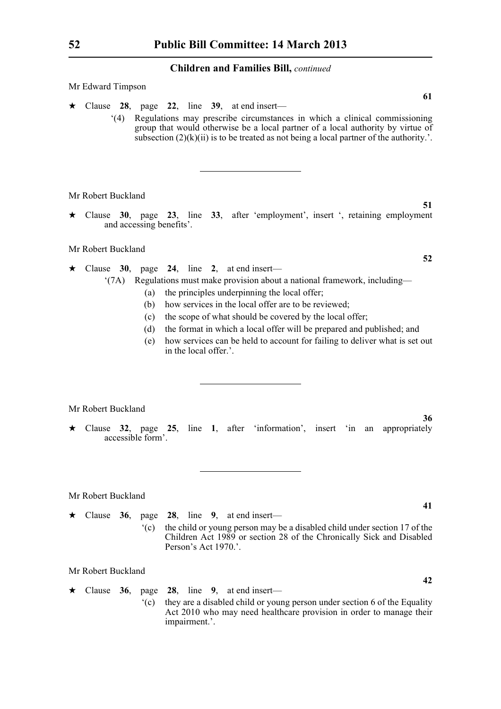Mr Edward Timpson

- $\star$  Clause 28, page 22, line 39, at end insert—
	- '(4) Regulations may prescribe circumstances in which a clinical commissioning group that would otherwise be a local partner of a local authority by virtue of subsection  $(2)(k)(ii)$  is to be treated as not being a local partner of the authority.'.

Mr Robert Buckland

\* Clause **30**, page **23**, line **33**, after 'employment', insert ', retaining employment and accessing benefits'.

Mr Robert Buckland

- $\star$  Clause 30, page 24, line 2, at end insert—
	- '(7A) Regulations must make provision about a national framework, including—
		- (a) the principles underpinning the local offer;
		- (b) how services in the local offer are to be reviewed;
		- (c) the scope of what should be covered by the local offer;
		- (d) the format in which a local offer will be prepared and published; and
		- (e) how services can be held to account for failing to deliver what is set out in the local offer.'.

Mr Robert Buckland

\* Clause **32**, page **25**, line **1**, after 'information', insert 'in an appropriately accessible form'.

Mr Robert Buckland

 $\star$  Clause 36, page 28, line 9, at end insert— '(c) the child or young person may be a disabled child under section 17 of the Children Act 1989 or section 28 of the Chronically Sick and Disabled Person's Act 1970.'.

Mr Robert Buckland

 $\star$  Clause 36, page 28, line 9, at end insert— '(c) they are a disabled child or young person under section 6 of the Equality Act 2010 who may need healthcare provision in order to manage their impairment.'.

**52**

**51**

**61**

**41**

**36**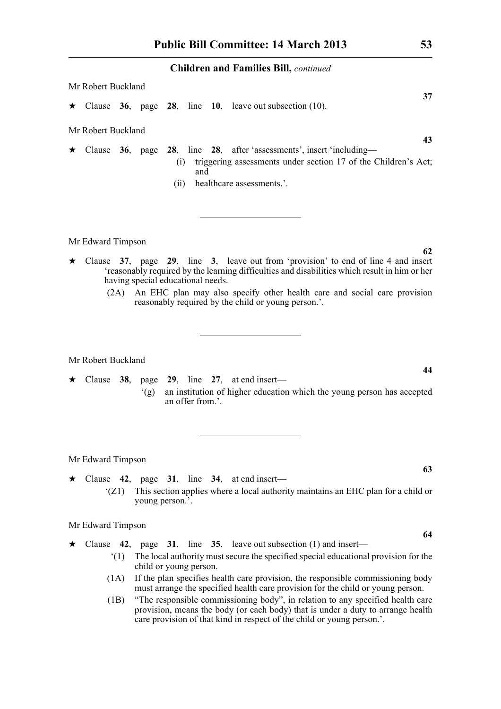| Mr Robert Buckland      |  |             |       |                                                                                                                                                                                                                                                                                                                                                                                                     |  |
|-------------------------|--|-------------|-------|-----------------------------------------------------------------------------------------------------------------------------------------------------------------------------------------------------------------------------------------------------------------------------------------------------------------------------------------------------------------------------------------------------|--|
|                         |  |             |       | 37<br>$\star$ Clause 36, page 28, line 10, leave out subsection (10).                                                                                                                                                                                                                                                                                                                               |  |
| Mr Robert Buckland      |  |             |       |                                                                                                                                                                                                                                                                                                                                                                                                     |  |
| $\star$ Clause 36, page |  | (1)<br>(11) | and   | 43<br>28, line 28, after 'assessments', insert 'including-<br>triggering assessments under section 17 of the Children's Act;<br>healthcare assessments.'.                                                                                                                                                                                                                                           |  |
| Mr Edward Timpson       |  |             |       |                                                                                                                                                                                                                                                                                                                                                                                                     |  |
|                         |  |             | 11.11 | 62<br>$\star$ Clause 37, page 29, line 3, leave out from 'provision' to end of line 4 and insert<br>$\cdot$ and the state of the state of $\cdot$ and $\cdot$ and $\cdot$ and $\cdot$ and $\cdot$ and $\cdot$ and $\cdot$ and $\cdot$ and $\cdot$ and $\cdot$ and $\cdot$ and $\cdot$ and $\cdot$ and $\cdot$ and $\cdot$ and $\cdot$ and $\cdot$ and $\cdot$ and $\cdot$ and $\cdot$ and $\cdot$ a |  |

- 'reasonably required by the learning difficulties and disabilities which result in him or her having special educational needs.
	- (2A) An EHC plan may also specify other health care and social care provision reasonably required by the child or young person.'.

Mr Robert Buckland

\* Clause **38**, page **29**, line **27**, at end insert— '(g) an institution of higher education which the young person has accepted an offer from.'.

#### Mr Edward Timpson

- $\star$  Clause 42, page 31, line 34, at end insert—
	- '(Z1) This section applies where a local authority maintains an EHC plan for a child or young person.'.

Mr Edward Timpson

- $\star$  Clause 42, page 31, line 35, leave out subsection (1) and insert—
	- '(1) The local authority must secure the specified special educational provision for the child or young person.
	- (1A) If the plan specifies health care provision, the responsible commissioning body must arrange the specified health care provision for the child or young person.
	- (1B) "The responsible commissioning body", in relation to any specified health care provision, means the body (or each body) that is under a duty to arrange health care provision of that kind in respect of the child or young person.'.

**63**

**44**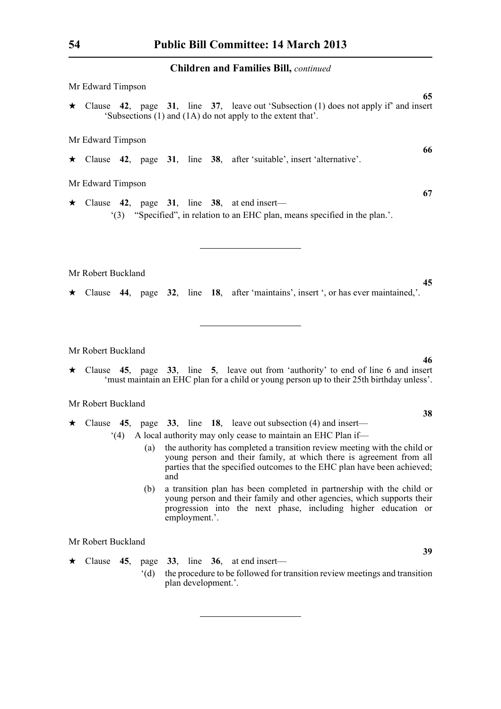| Mr Edward Timpson                                                                                                                                           |    |
|-------------------------------------------------------------------------------------------------------------------------------------------------------------|----|
| $\star$ Clause 42, page 31, line 37, leave out 'Subsection (1) does not apply if' and insert<br>'Subsections (1) and (1A) do not apply to the extent that'. | 65 |
| Mr Edward Timpson                                                                                                                                           |    |
| $\star$ Clause 42, page 31, line 38, after 'suitable', insert 'alternative'.                                                                                | 66 |
| Mr Edward Timpson                                                                                                                                           |    |
| $\star$ Clause 42, page 31, line 38, at end insert—<br>"(3) "Specified", in relation to an EHC plan, means specified in the plan."                          | 67 |
|                                                                                                                                                             |    |
| Mr Robert Buckland                                                                                                                                          |    |
| $\star$ Clause 44, page 32, line 18, after 'maintains', insert ', or has ever maintained,'.                                                                 | 45 |

Mr Robert Buckland

\* Clause **45**, page **33**, line **5**, leave out from 'authority' to end of line 6 and insert 'must maintain an EHC plan for a child or young person up to their 25th birthday unless'.

Mr Robert Buckland

- \* Clause **45**, page **33**, line **18**, leave out subsection (4) and insert—
	- '(4) A local authority may only cease to maintain an EHC Plan if—
		- (a) the authority has completed a transition review meeting with the child or young person and their family, at which there is agreement from all parties that the specified outcomes to the EHC plan have been achieved; and
		- (b) a transition plan has been completed in partnership with the child or young person and their family and other agencies, which supports their progression into the next phase, including higher education or employment.'.

Mr Robert Buckland

 $\star$  Clause 45, page 33, line 36, at end insert— '(d) the procedure to be followed for transition review meetings and transition plan development.'.

**46**

**38**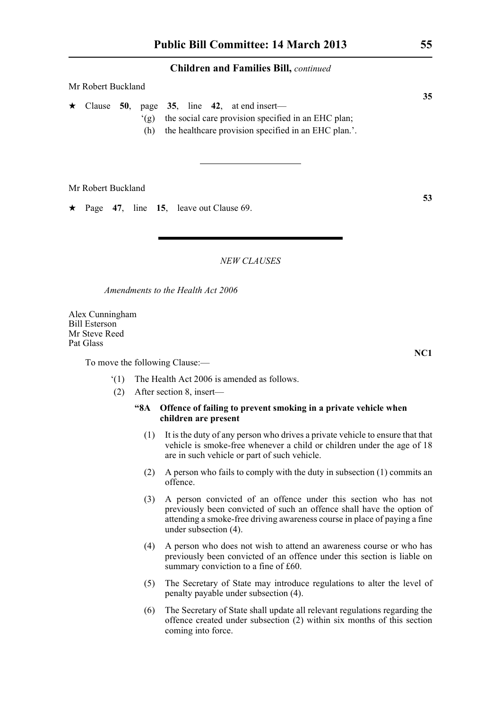| Mr Robert Buckland |  |                                    |  |  |  |                                                                                                                                                                    |  |  |
|--------------------|--|------------------------------------|--|--|--|--------------------------------------------------------------------------------------------------------------------------------------------------------------------|--|--|
|                    |  | $\mathcal{L}(\mathfrak{g})$<br>(h) |  |  |  | $\star$ Clause 50, page 35, line 42, at end insert—<br>the social care provision specified in an EHC plan;<br>the healthcare provision specified in an EHC plan.'. |  |  |

Mr Robert Buckland

 $\star$  Page 47, line 15, leave out Clause 69.

#### *NEW CLAUSES*

*Amendments to the Health Act 2006*

Alex Cunningham Bill Esterson Mr Steve Reed Pat Glass

To move the following Clause:—

- '(1) The Health Act 2006 is amended as follows.
- (2) After section 8, insert—

#### **"8A Offence of failing to prevent smoking in a private vehicle when children are present**

- (1) It is the duty of any person who drives a private vehicle to ensure that that vehicle is smoke-free whenever a child or children under the age of 18 are in such vehicle or part of such vehicle.
- (2) A person who fails to comply with the duty in subsection (1) commits an offence.
- (3) A person convicted of an offence under this section who has not previously been convicted of such an offence shall have the option of attending a smoke-free driving awareness course in place of paying a fine under subsection (4).
- (4) A person who does not wish to attend an awareness course or who has previously been convicted of an offence under this section is liable on summary conviction to a fine of £60.
- (5) The Secretary of State may introduce regulations to alter the level of penalty payable under subsection (4).
- (6) The Secretary of State shall update all relevant regulations regarding the offence created under subsection (2) within six months of this section coming into force.

**35**

**53**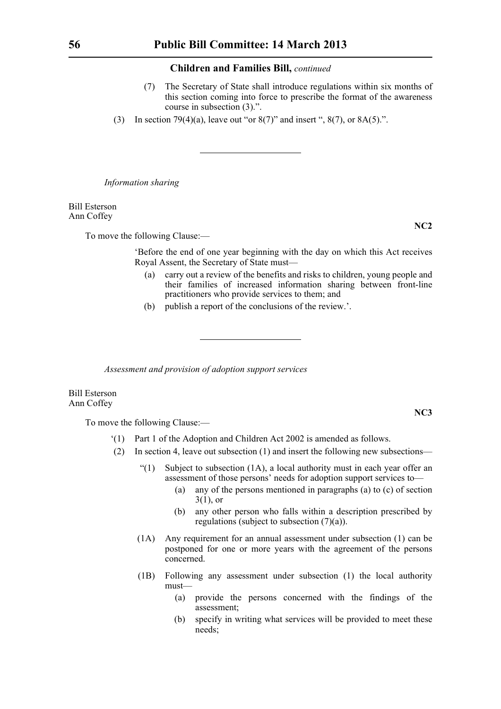- (7) The Secretary of State shall introduce regulations within six months of this section coming into force to prescribe the format of the awareness course in subsection (3).".
- (3) In section 79(4)(a), leave out "or  $8(7)$ " and insert ",  $8(7)$ , or  $8A(5)$ .".

*Information sharing*

Bill Esterson Ann Coffey

To move the following Clause:—

'Before the end of one year beginning with the day on which this Act receives Royal Assent, the Secretary of State must—

- (a) carry out a review of the benefits and risks to children, young people and their families of increased information sharing between front-line practitioners who provide services to them; and
- (b) publish a report of the conclusions of the review.'.

*Assessment and provision of adoption support services*

Bill Esterson Ann Coffey

To move the following Clause:—

- '(1) Part 1 of the Adoption and Children Act 2002 is amended as follows.
- (2) In section 4, leave out subsection (1) and insert the following new subsections—
	- $\lq(1)$  Subject to subsection (1A), a local authority must in each year offer an assessment of those persons' needs for adoption support services to—
		- (a) any of the persons mentioned in paragraphs (a) to (c) of section  $3(1)$ , or
		- (b) any other person who falls within a description prescribed by regulations (subject to subsection (7)(a)).
	- (1A) Any requirement for an annual assessment under subsection (1) can be postponed for one or more years with the agreement of the persons concerned.
	- (1B) Following any assessment under subsection (1) the local authority must—
		- (a) provide the persons concerned with the findings of the assessment;
		- (b) specify in writing what services will be provided to meet these needs;

**NC2**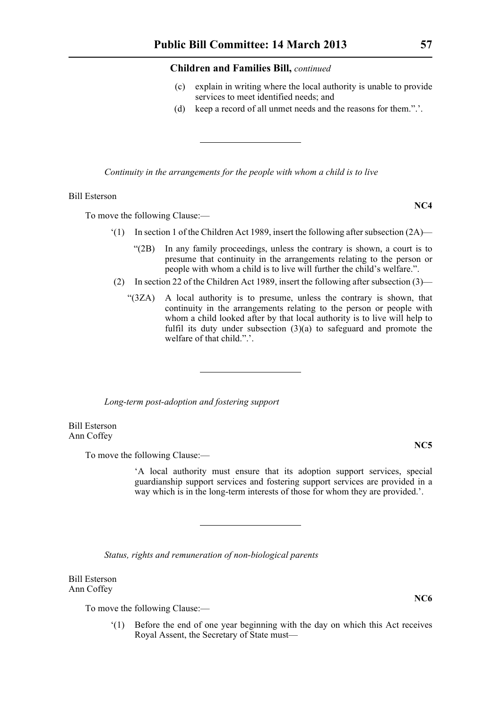- (c) explain in writing where the local authority is unable to provide services to meet identified needs; and
- (d) keep a record of all unmet needs and the reasons for them.".'.

*Continuity in the arrangements for the people with whom a child is to live*

#### Bill Esterson

To move the following Clause:—

- $(1)$  In section 1 of the Children Act 1989, insert the following after subsection  $(2A)$ 
	- "(2B) In any family proceedings, unless the contrary is shown, a court is to presume that continuity in the arrangements relating to the person or people with whom a child is to live will further the child's welfare.".
- (2) In section 22 of the Children Act 1989, insert the following after subsection (3)—
	- "(3ZA) A local authority is to presume, unless the contrary is shown, that continuity in the arrangements relating to the person or people with whom a child looked after by that local authority is to live will help to fulfil its duty under subsection  $(3)(a)$  to safeguard and promote the welfare of that child."

*Long-term post-adoption and fostering support*

Bill Esterson Ann Coffey

To move the following Clause:—

'A local authority must ensure that its adoption support services, special guardianship support services and fostering support services are provided in a way which is in the long-term interests of those for whom they are provided.'.

*Status, rights and remuneration of non-biological parents*

Bill Esterson Ann Coffey

To move the following Clause:—

'(1) Before the end of one year beginning with the day on which this Act receives Royal Assent, the Secretary of State must—

**NC5**

**NC6**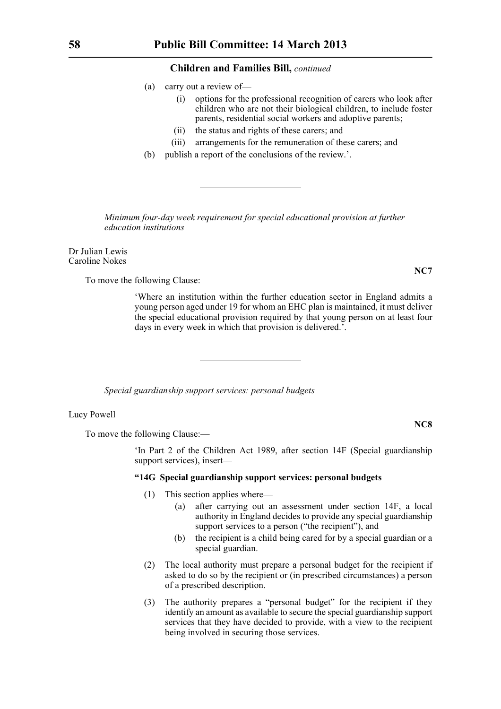- (a) carry out a review of—
	- (i) options for the professional recognition of carers who look after children who are not their biological children, to include foster parents, residential social workers and adoptive parents;
	- (ii) the status and rights of these carers; and
	- (iii) arrangements for the remuneration of these carers; and
- (b) publish a report of the conclusions of the review.'.

*Minimum four-day week requirement for special educational provision at further education institutions*

Dr Julian Lewis Caroline Nokes

To move the following Clause:—

'Where an institution within the further education sector in England admits a young person aged under 19 for whom an EHC plan is maintained, it must deliver the special educational provision required by that young person on at least four days in every week in which that provision is delivered.'.

*Special guardianship support services: personal budgets*

Lucy Powell

To move the following Clause:—

'In Part 2 of the Children Act 1989, after section 14F (Special guardianship support services), insert—

#### **"14G Special guardianship support services: personal budgets**

- (1) This section applies where—
	- (a) after carrying out an assessment under section 14F, a local authority in England decides to provide any special guardianship support services to a person ("the recipient"), and
	- (b) the recipient is a child being cared for by a special guardian or a special guardian.
- (2) The local authority must prepare a personal budget for the recipient if asked to do so by the recipient or (in prescribed circumstances) a person of a prescribed description.
- (3) The authority prepares a "personal budget" for the recipient if they identify an amount as available to secure the special guardianship support services that they have decided to provide, with a view to the recipient being involved in securing those services.

**NC7**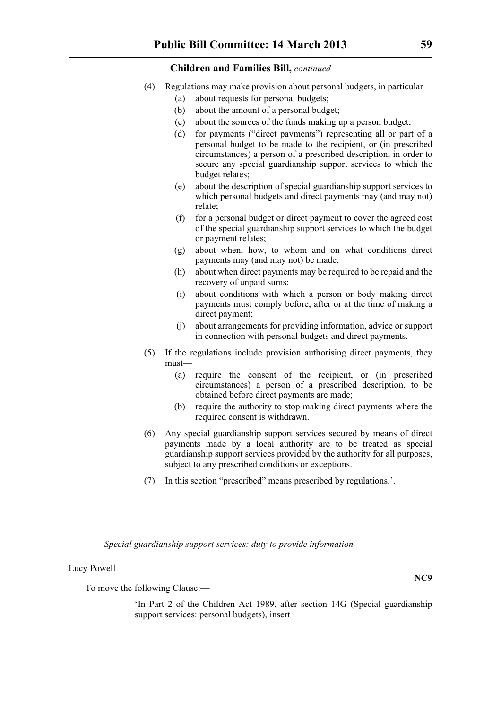- (4) Regulations may make provision about personal budgets, in particular—
	- (a) about requests for personal budgets;
	- (b) about the amount of a personal budget;
	- (c) about the sources of the funds making up a person budget;
	- (d) for payments ("direct payments") representing all or part of a personal budget to be made to the recipient, or (in prescribed circumstances) a person of a prescribed description, in order to secure any special guardianship support services to which the budget relates;
	- (e) about the description of special guardianship support services to which personal budgets and direct payments may (and may not) relate;
	- (f) for a personal budget or direct payment to cover the agreed cost of the special guardianship support services to which the budget or payment relates;
	- (g) about when, how, to whom and on what conditions direct payments may (and may not) be made;
	- (h) about when direct payments may be required to be repaid and the recovery of unpaid sums;
	- (i) about conditions with which a person or body making direct payments must comply before, after or at the time of making a direct payment;
	- (j) about arrangements for providing information, advice or support in connection with personal budgets and direct payments.
- (5) If the regulations include provision authorising direct payments, they must—
	- (a) require the consent of the recipient, or (in prescribed circumstances) a person of a prescribed description, to be obtained before direct payments are made;
	- (b) require the authority to stop making direct payments where the required consent is withdrawn.
- (6) Any special guardianship support services secured by means of direct payments made by a local authority are to be treated as special guardianship support services provided by the authority for all purposes, subject to any prescribed conditions or exceptions.
- (7) In this section "prescribed" means prescribed by regulations.'.

*Special guardianship support services: duty to provide information*

#### Lucy Powell

To move the following Clause:—

'In Part 2 of the Children Act 1989, after section 14G (Special guardianship support services: personal budgets), insert—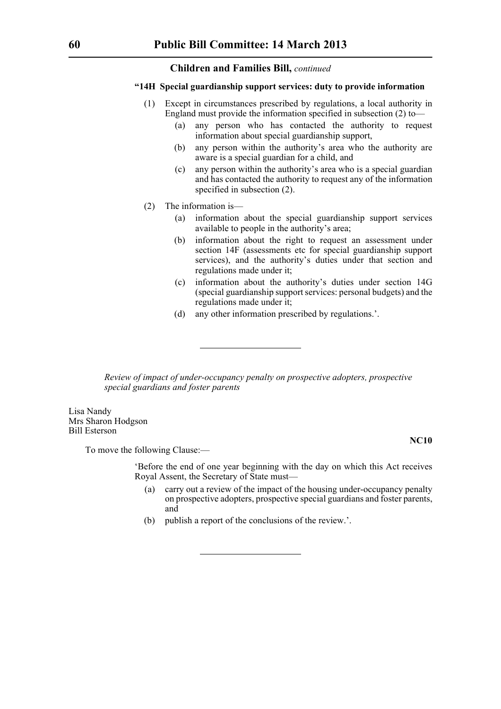#### **"14H Special guardianship support services: duty to provide information**

- (1) Except in circumstances prescribed by regulations, a local authority in England must provide the information specified in subsection (2) to—
	- (a) any person who has contacted the authority to request information about special guardianship support,
	- (b) any person within the authority's area who the authority are aware is a special guardian for a child, and
	- (c) any person within the authority's area who is a special guardian and has contacted the authority to request any of the information specified in subsection (2).
- (2) The information is—
	- (a) information about the special guardianship support services available to people in the authority's area;
	- (b) information about the right to request an assessment under section 14F (assessments etc for special guardianship support services), and the authority's duties under that section and regulations made under it;
	- (c) information about the authority's duties under section 14G (special guardianship support services: personal budgets) and the regulations made under it;
	- (d) any other information prescribed by regulations.'.

*Review of impact of under-occupancy penalty on prospective adopters, prospective special guardians and foster parents*

Lisa Nandy Mrs Sharon Hodgson Bill Esterson

**NC10**

To move the following Clause:—

'Before the end of one year beginning with the day on which this Act receives Royal Assent, the Secretary of State must—

- (a) carry out a review of the impact of the housing under-occupancy penalty on prospective adopters, prospective special guardians and foster parents, and
- (b) publish a report of the conclusions of the review.'.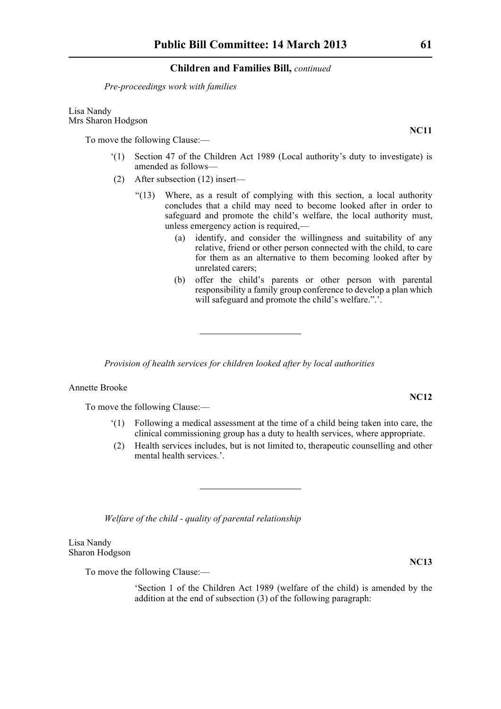*Pre-proceedings work with families*

Lisa Nandy Mrs Sharon Hodgson

To move the following Clause:—

- '(1) Section 47 of the Children Act 1989 (Local authority's duty to investigate) is amended as follows—
- (2) After subsection (12) insert—
	- "(13) Where, as a result of complying with this section, a local authority concludes that a child may need to become looked after in order to safeguard and promote the child's welfare, the local authority must, unless emergency action is required,—
		- (a) identify, and consider the willingness and suitability of any relative, friend or other person connected with the child, to care for them as an alternative to them becoming looked after by unrelated carers;
		- (b) offer the child's parents or other person with parental responsibility a family group conference to develop a plan which will safeguard and promote the child's welfare.".'.

*Provision of health services for children looked after by local authorities*

Annette Brooke

To move the following Clause:—

- '(1) Following a medical assessment at the time of a child being taken into care, the clinical commissioning group has a duty to health services, where appropriate.
- (2) Health services includes, but is not limited to, therapeutic counselling and other mental health services.'.

*Welfare of the child - quality of parental relationship*

Lisa Nandy Sharon Hodgson

To move the following Clause:—

'Section 1 of the Children Act 1989 (welfare of the child) is amended by the addition at the end of subsection (3) of the following paragraph:

**NC12**

**NC13**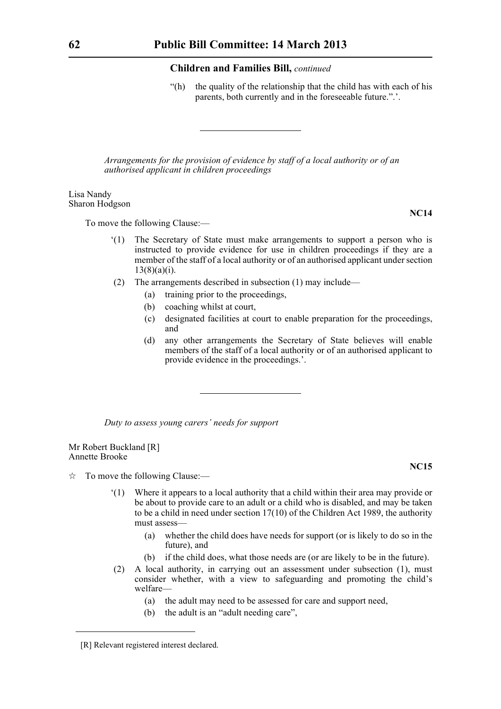"(h) the quality of the relationship that the child has with each of his parents, both currently and in the foreseeable future.".'.

*Arrangements for the provision of evidence by staff of a local authority or of an authorised applicant in children proceedings*

Lisa Nandy Sharon Hodgson

To move the following Clause:—

- '(1) The Secretary of State must make arrangements to support a person who is instructed to provide evidence for use in children proceedings if they are a member of the staff of a local authority or of an authorised applicant under section  $13(8)(a)(i)$ .
- (2) The arrangements described in subsection (1) may include—
	- (a) training prior to the proceedings,
	- (b) coaching whilst at court,
	- (c) designated facilities at court to enable preparation for the proceedings, and
	- (d) any other arrangements the Secretary of State believes will enable members of the staff of a local authority or of an authorised applicant to provide evidence in the proceedings.'.

*Duty to assess young carers' needs for support*

Mr Robert Buckland [R] Annette Brooke

 $\hat{\mathbb{R}}$  To move the following Clause:—

- '(1) Where it appears to a local authority that a child within their area may provide or be about to provide care to an adult or a child who is disabled, and may be taken to be a child in need under section 17(10) of the Children Act 1989, the authority must assess—
	- (a) whether the child does have needs for support (or is likely to do so in the future), and
	- (b) if the child does, what those needs are (or are likely to be in the future).
- (2) A local authority, in carrying out an assessment under subsection (1), must consider whether, with a view to safeguarding and promoting the child's welfare—
	- (a) the adult may need to be assessed for care and support need,
	- (b) the adult is an "adult needing care",

**NC15**

<sup>[</sup>R] Relevant registered interest declared.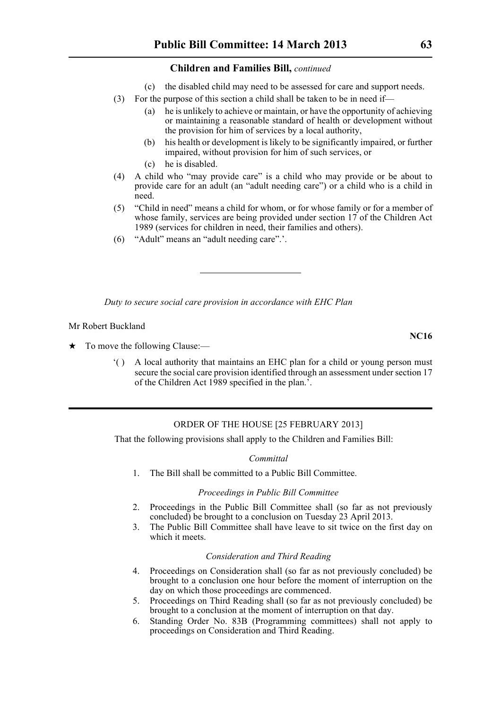(c) the disabled child may need to be assessed for care and support needs.

- (3) For the purpose of this section a child shall be taken to be in need if—
	- (a) he is unlikely to achieve or maintain, or have the opportunity of achieving or maintaining a reasonable standard of health or development without the provision for him of services by a local authority,
	- (b) his health or development is likely to be significantly impaired, or further impaired, without provision for him of such services, or
	- (c) he is disabled.
- (4) A child who "may provide care" is a child who may provide or be about to provide care for an adult (an "adult needing care") or a child who is a child in need.
- (5) "Child in need" means a child for whom, or for whose family or for a member of whose family, services are being provided under section 17 of the Children Act 1989 (services for children in need, their families and others).
- (6) "Adult" means an "adult needing care".'.

*Duty to secure social care provision in accordance with EHC Plan*

Mr Robert Buckland

- $\star$  To move the following Clause:—
	- '( ) A local authority that maintains an EHC plan for a child or young person must secure the social care provision identified through an assessment under section 17 of the Children Act 1989 specified in the plan.'.

#### ORDER OF THE HOUSE [25 FEBRUARY 2013]

That the following provisions shall apply to the Children and Families Bill:

#### *Committal*

1. The Bill shall be committed to a Public Bill Committee.

#### *Proceedings in Public Bill Committee*

- 2. Proceedings in the Public Bill Committee shall (so far as not previously concluded) be brought to a conclusion on Tuesday 23 April 2013.
- 3. The Public Bill Committee shall have leave to sit twice on the first day on which it meets.

#### *Consideration and Third Reading*

- 4. Proceedings on Consideration shall (so far as not previously concluded) be brought to a conclusion one hour before the moment of interruption on the day on which those proceedings are commenced.
- 5. Proceedings on Third Reading shall (so far as not previously concluded) be brought to a conclusion at the moment of interruption on that day.
- 6. Standing Order No. 83B (Programming committees) shall not apply to proceedings on Consideration and Third Reading.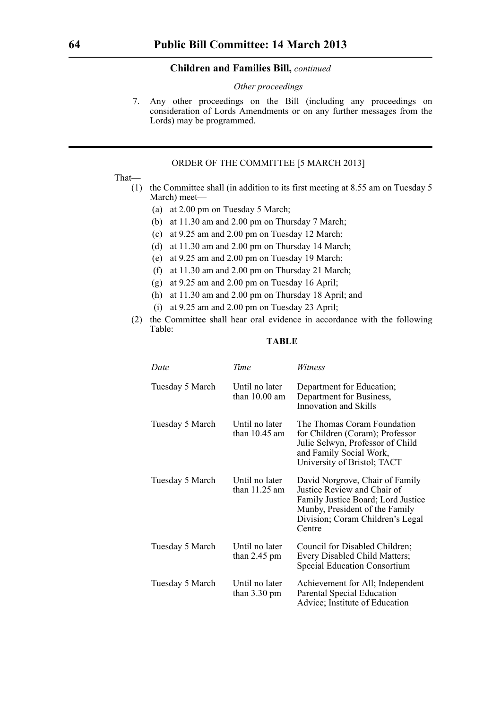#### *Other proceedings*

7. Any other proceedings on the Bill (including any proceedings on consideration of Lords Amendments or on any further messages from the Lords) may be programmed.

#### ORDER OF THE COMMITTEE [5 MARCH 2013]

#### That—

- (1) the Committee shall (in addition to its first meeting at 8.55 am on Tuesday 5 March) meet—
	- (a) at 2.00 pm on Tuesday 5 March;
	- (b) at 11.30 am and 2.00 pm on Thursday 7 March;
	- (c) at 9.25 am and 2.00 pm on Tuesday 12 March;
	- (d) at 11.30 am and 2.00 pm on Thursday 14 March;
	- (e) at 9.25 am and 2.00 pm on Tuesday 19 March;
	- (f) at 11.30 am and 2.00 pm on Thursday 21 March;
	- (g) at 9.25 am and 2.00 pm on Tuesday 16 April;
	- (h) at 11.30 am and 2.00 pm on Thursday 18 April; and
	- (i) at 9.25 am and 2.00 pm on Tuesday 23 April;
- (2) the Committee shall hear oral evidence in accordance with the following Table:

### **TABLE**

| Date            | Time                                     | Witness                                                                                                                                                                              |
|-----------------|------------------------------------------|--------------------------------------------------------------------------------------------------------------------------------------------------------------------------------------|
| Tuesday 5 March | Until no later<br>than $10.00$ am        | Department for Education;<br>Department for Business,<br>Innovation and Skills                                                                                                       |
| Tuesday 5 March | Until no later<br>than $10.45$ am        | The Thomas Coram Foundation<br>for Children (Coram); Professor<br>Julie Selwyn, Professor of Child<br>and Family Social Work,<br>University of Bristol; TACT                         |
| Tuesday 5 March | Until no later<br>than $11.25$ am        | David Norgrove, Chair of Family<br>Justice Review and Chair of<br>Family Justice Board; Lord Justice<br>Munby, President of the Family<br>Division; Coram Children's Legal<br>Centre |
| Tuesday 5 March | Until no later<br>than $2.45$ pm         | Council for Disabled Children;<br>Every Disabled Child Matters;<br><b>Special Education Consortium</b>                                                                               |
| Tuesday 5 March | Until no later<br>than $3.30 \text{ pm}$ | Achievement for All; Independent<br>Parental Special Education<br>Advice; Institute of Education                                                                                     |